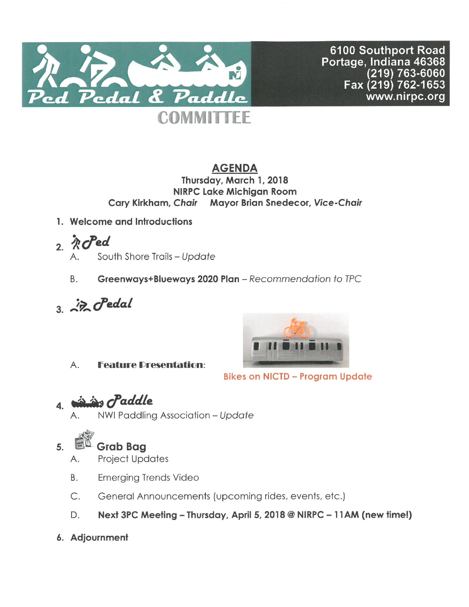

6100 Southport Road Portage, Indiana 46368 (219) 763-6060<br>Fax (219) 762-1653 www.nirpc.org

# **AGENDA**

Thursday, March 1, 2018 **NIRPC Lake Michigan Room** Cary Kirkham, Chair Mayor Brian Snedecor, Vice-Chair

- 1. Welcome and Introductions
- $2.$  *R*  $C$  ed
	- South Shore Trails Update А.
	- Greenways+Blueways 2020 Plan Recommendation to TPC Β.
- $3 \nightharpoonup$   $7$  cPedal



**Bikes on NICTD - Program Update** 

**Feature Dresentation:** Α.

is craddle  $\mathbf{4}$ .

NWI Paddling Association - Update

#### 5. **Grab Bag**

- **Project Updates** А.
- B. **Emerging Trends Video**
- $C.$ General Announcements (upcoming rides, events, etc.)
- Next 3PC Meeting Thursday, April 5, 2018 @ NIRPC 11AM (new time!) D.
- 6. Adjournment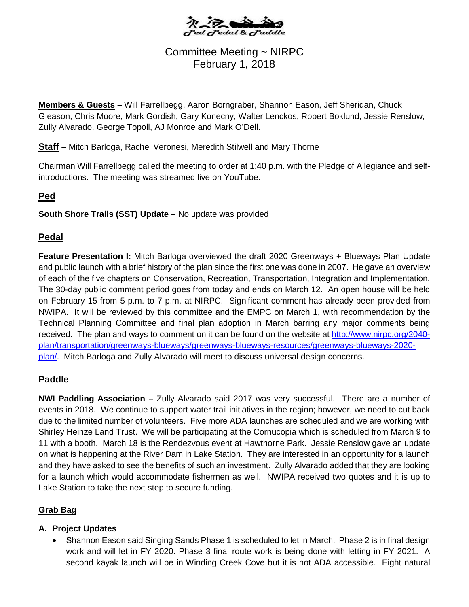

# Committee Meeting ~ NIRPC February 1, 2018

**Members & Guests –** Will Farrellbegg, Aaron Borngraber, Shannon Eason, Jeff Sheridan, Chuck Gleason, Chris Moore, Mark Gordish, Gary Konecny, Walter Lenckos, Robert Boklund, Jessie Renslow, Zully Alvarado, George Topoll, AJ Monroe and Mark O'Dell.

**Staff** – Mitch Barloga, Rachel Veronesi, Meredith Stilwell and Mary Thorne

Chairman Will Farrellbegg called the meeting to order at 1:40 p.m. with the Pledge of Allegiance and selfintroductions. The meeting was streamed live on YouTube.

## **Ped**

**South Shore Trails (SST) Update –** No update was provided

#### **Pedal**

**Feature Presentation I:** Mitch Barloga overviewed the draft 2020 Greenways + Blueways Plan Update and public launch with a brief history of the plan since the first one was done in 2007. He gave an overview of each of the five chapters on Conservation, Recreation, Transportation, Integration and Implementation. The 30-day public comment period goes from today and ends on March 12. An open house will be held on February 15 from 5 p.m. to 7 p.m. at NIRPC. Significant comment has already been provided from NWIPA. It will be reviewed by this committee and the EMPC on March 1, with recommendation by the Technical Planning Committee and final plan adoption in March barring any major comments being received. The plan and ways to comment on it can be found on the website at [http://www.nirpc.org/2040](http://www.nirpc.org/2040-plan/transportation/greenways-blueways/greenways-blueways-resources/greenways-blueways-2020-plan/) [plan/transportation/greenways-blueways/greenways-blueways-resources/greenways-blueways-2020](http://www.nirpc.org/2040-plan/transportation/greenways-blueways/greenways-blueways-resources/greenways-blueways-2020-plan/) [plan/.](http://www.nirpc.org/2040-plan/transportation/greenways-blueways/greenways-blueways-resources/greenways-blueways-2020-plan/) Mitch Barloga and Zully Alvarado will meet to discuss universal design concerns.

#### **Paddle**

**NWI Paddling Association –** Zully Alvarado said 2017 was very successful. There are a number of events in 2018. We continue to support water trail initiatives in the region; however, we need to cut back due to the limited number of volunteers. Five more ADA launches are scheduled and we are working with Shirley Heinze Land Trust. We will be participating at the Cornucopia which is scheduled from March 9 to 11 with a booth. March 18 is the Rendezvous event at Hawthorne Park. Jessie Renslow gave an update on what is happening at the River Dam in Lake Station. They are interested in an opportunity for a launch and they have asked to see the benefits of such an investment. Zully Alvarado added that they are looking for a launch which would accommodate fishermen as well. NWIPA received two quotes and it is up to Lake Station to take the next step to secure funding.

#### **Grab Bag**

#### **A. Project Updates**

• Shannon Eason said Singing Sands Phase 1 is scheduled to let in March. Phase 2 is in final design work and will let in FY 2020. Phase 3 final route work is being done with letting in FY 2021. A second kayak launch will be in Winding Creek Cove but it is not ADA accessible. Eight natural